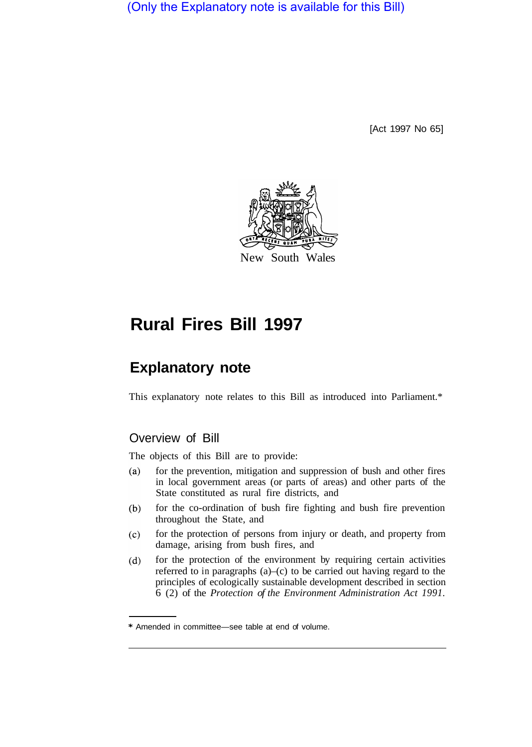(Only the Explanatory note is available for this Bill)

[Act 1997 No 65]



# **Rural Fires Bill 1997**

# **Explanatory note**

This explanatory note relates to this Bill as introduced into Parliament.\*

# Overview of Bill

The objects of this Bill are to provide:

- $(a)$ for the prevention, mitigation and suppression of bush and other fires in local government areas (or parts of areas) and other parts of the State constituted as rural fire districts, and
- for the co-ordination of bush fire fighting and bush fire prevention  $(b)$ throughout the State, and
- for the protection of persons from injury or death, and property from  $(c)$ damage, arising from bush fires, and
- for the protection of the environment by requiring certain activities  $(d)$ referred to in paragraphs  $(a)$ – $(c)$  to be carried out having regard to the principles of ecologically sustainable development described in section 6 (2) of the *Protection of the Environment Administration Act 1991.*

<sup>\*</sup> Amended in committee—see table at end of volume.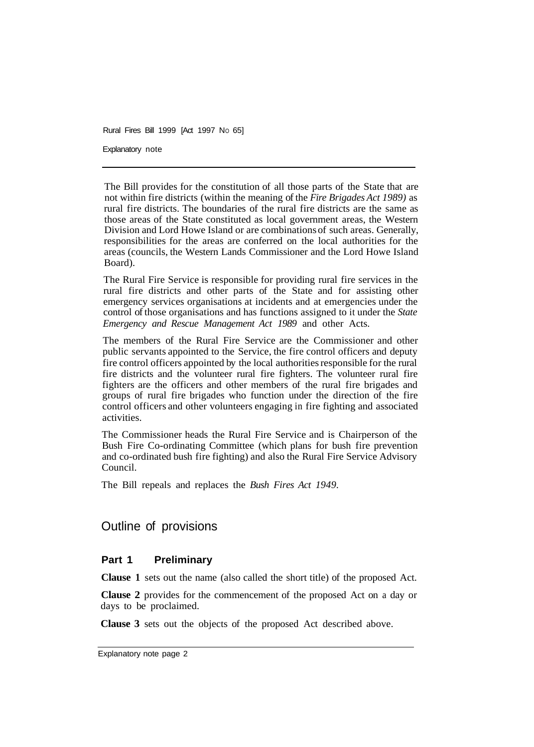Explanatory note

The Bill provides for the constitution of all those parts of the State that are not within fire districts (within the meaning of the *Fire Brigades Act 1989)* as rural fire districts. The boundaries of the rural fire districts are the same as those areas of the State constituted as local government areas, the Western Division and Lord Howe Island or are combinations of such areas. Generally, responsibilities for the areas are conferred on the local authorities for the areas (councils, the Western Lands Commissioner and the Lord Howe Island Board).

The Rural Fire Service is responsible for providing rural fire services in the rural fire districts and other parts of the State and for assisting other emergency services organisations at incidents and at emergencies under the control of those organisations and has functions assigned to it under the *State Emergency and Rescue Management Act 1989* and other Acts.

The members of the Rural Fire Service are the Commissioner and other public servants appointed to the Service, the fire control officers and deputy fire control officers appointed by the local authorities responsible for the rural fire districts and the volunteer rural fire fighters. The volunteer rural fire fighters are the officers and other members of the rural fire brigades and groups of rural fire brigades who function under the direction of the fire control officers and other volunteers engaging in fire fighting and associated activities.

The Commissioner heads the Rural Fire Service and is Chairperson of the Bush Fire Co-ordinating Committee (which plans for bush fire prevention and co-ordinated bush fire fighting) and also the Rural Fire Service Advisory Council.

The Bill repeals and replaces the *Bush Fires Act 1949.* 

# Outline of provisions

## **Part 1 Preliminary**

**Clause 1** sets out the name (also called the short title) of the proposed Act.

**Clause 2** provides for the commencement of the proposed Act on a day or days to be proclaimed.

**Clause 3** sets out the objects of the proposed Act described above.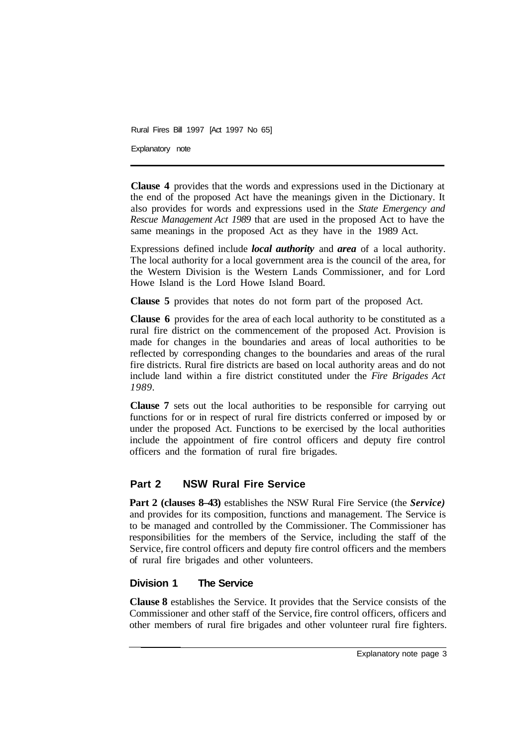Explanatory note

**Clause 4** provides that the words and expressions used in the Dictionary at the end of the proposed Act have the meanings given in the Dictionary. It also provides for words and expressions used in the *State Emergency and Rescue Management Act 1989* that are used in the proposed Act to have the same meanings in the proposed Act as they have in the 1989 Act.

Expressions defined include *local authority* and *area* of a local authority. The local authority for a local government area is the council of the area, for the Western Division is the Western Lands Commissioner, and for Lord Howe Island is the Lord Howe Island Board.

**Clause 5** provides that notes do not form part of the proposed Act.

**Clause 6** provides for the area of each local authority to be constituted as a rural fire district on the commencement of the proposed Act. Provision is made for changes in the boundaries and areas of local authorities to be reflected by corresponding changes to the boundaries and areas of the rural fire districts. Rural fire districts are based on local authority areas and do not include land within a fire district constituted under the *Fire Brigades Act 1989.* 

**Clause 7** sets out the local authorities to be responsible for carrying out functions for or in respect of rural fire districts conferred or imposed by or under the proposed Act. Functions to be exercised by the local authorities include the appointment of fire control officers and deputy fire control officers and the formation of rural fire brigades.

# **Part 2 NSW Rural Fire Service**

**Part 2 (clauses 8–43)** establishes the NSW Rural Fire Service (the *Service)*  and provides for its composition, functions and management. The Service is to be managed and controlled by the Commissioner. The Commissioner has responsibilities for the members of the Service, including the staff of the Service, fire control officers and deputy fire control officers and the members of rural fire brigades and other volunteers.

## **Division 1 The Service**

**Clause 8** establishes the Service. It provides that the Service consists of the Commissioner and other staff of the Service, fire control officers, officers and other members of rural fire brigades and other volunteer rural fire fighters.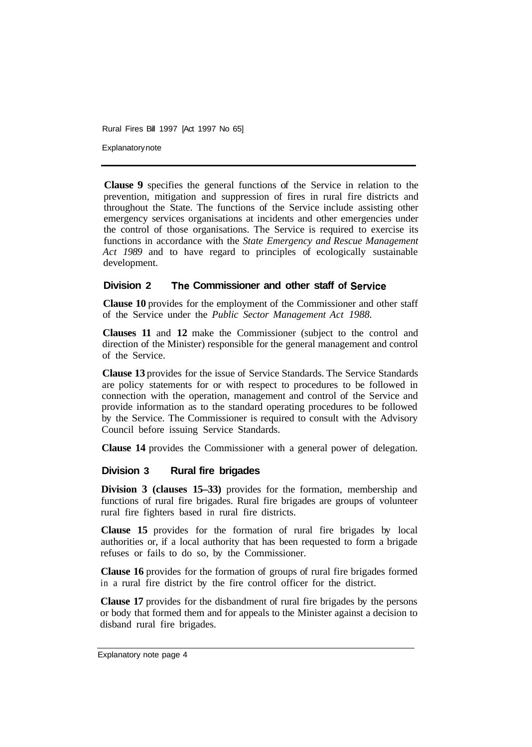Explanatory note

**Clause 9** specifies the general functions of the Service in relation to the prevention, mitigation and suppression of fires in rural fire districts and throughout the State. The functions of the Service include assisting other emergency services organisations at incidents and other emergencies under the control of those organisations. The Service is required to exercise its functions in accordance with the *State Emergency and Rescue Management Act 1989* and to have regard to principles of ecologically sustainable development.

# **Division 2 The Commissioner and other staff of Service**

**Clause 10** provides for the employment of the Commissioner and other staff of the Service under the *Public Sector Management Act 1988.* 

**Clauses 11** and **12** make the Commissioner (subject to the control and direction of the Minister) responsible for the general management and control of the Service.

**Clause 13** provides for the issue of Service Standards. The Service Standards are policy statements for or with respect to procedures to be followed in connection with the operation, management and control of the Service and provide information as to the standard operating procedures to be followed by the Service. The Commissioner is required to consult with the Advisory Council before issuing Service Standards.

**Clause 14** provides the Commissioner with a general power of delegation.

## **Division 3 Rural fire brigades**

**Division 3 (clauses 15–33)** provides for the formation, membership and functions of rural fire brigades. Rural fire brigades are groups of volunteer rural fire fighters based in rural fire districts.

**Clause 15** provides for the formation of rural fire brigades by local authorities or, if a local authority that has been requested to form a brigade refuses or fails to do so, by the Commissioner.

**Clause 16** provides for the formation of groups of rural fire brigades formed in a rural fire district by the fire control officer for the district.

**Clause 17** provides for the disbandment of rural fire brigades by the persons or body that formed them and for appeals to the Minister against a decision to disband rural fire brigades.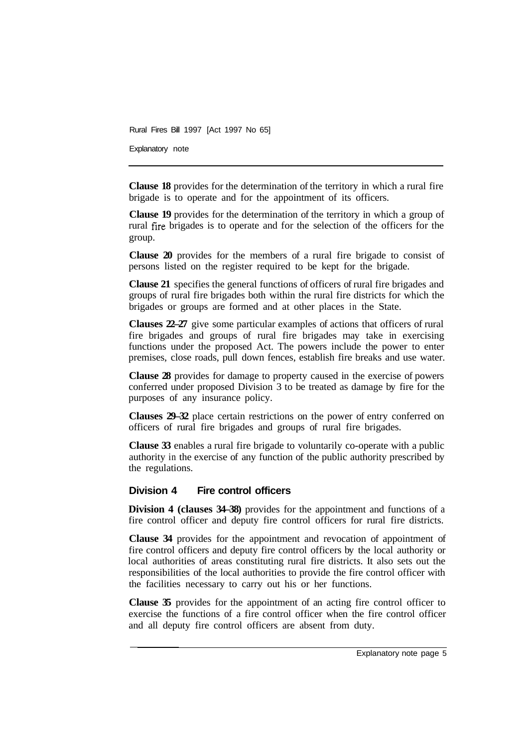Explanatory note

**Clause 18** provides for the determination of the territory in which a rural fire brigade is to operate and for the appointment of its officers.

**Clause 19** provides for the determination of the territory in which a group of rural fire brigades is to operate and for the selection of the officers for the group.

**Clause 20** provides for the members of a rural fire brigade to consist of persons listed on the register required to be kept for the brigade.

**Clause 21** specifies the general functions of officers of rural fire brigades and groups of rural fire brigades both within the rural fire districts for which the brigades or groups are formed and at other places in the State.

**Clauses 22–27** give some particular examples of actions that officers of rural fire brigades and groups of rural fire brigades may take in exercising functions under the proposed Act. The powers include the power to enter premises, close roads, pull down fences, establish fire breaks and use water.

**Clause 28** provides for damage to property caused in the exercise of powers conferred under proposed Division 3 to be treated as damage by fire for the purposes of any insurance policy.

**Clauses 29–32** place certain restrictions on the power of entry conferred on officers of rural fire brigades and groups of rural fire brigades.

**Clause 33** enables a rural fire brigade to voluntarily co-operate with a public authority in the exercise of any function of the public authority prescribed by the regulations.

#### **Division 4 Fire control officers**

**Division 4 (clauses 34–38)** provides for the appointment and functions of a fire control officer and deputy fire control officers for rural fire districts.

**Clause 34** provides for the appointment and revocation of appointment of fire control officers and deputy fire control officers by the local authority or local authorities of areas constituting rural fire districts. It also sets out the responsibilities of the local authorities to provide the fire control officer with the facilities necessary to carry out his or her functions.

**Clause 35** provides for the appointment of an acting fire control officer to exercise the functions of a fire control officer when the fire control officer and all deputy fire control officers are absent from duty.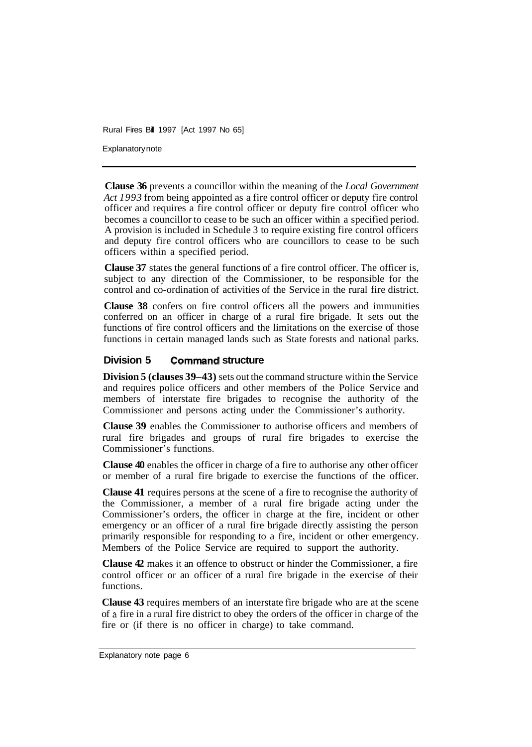Explanatory note

**Clause 36** prevents a councillor within the meaning of the *Local Government Act 1993* from being appointed as a fire control officer or deputy fire control officer and requires a fire control officer or deputy fire control officer who becomes a councillor to cease to be such an officer within a specified period. A provision is included in Schedule 3 to require existing fire control officers and deputy fire control officers who are councillors to cease to be such officers within a specified period.

**Clause 37** states the general functions of a fire control officer. The officer is, subject to any direction of the Commissioner, to be responsible for the control and co-ordination of activities of the Service in the rural fire district.

**Clause 38** confers on fire control officers all the powers and immunities conferred on an officer in charge of a rural fire brigade. It sets out the functions of fire control officers and the limitations on the exercise of those functions in certain managed lands such as State forests and national parks.

## **Division 5 Command structure**

**Division 5 (clauses 39–43)** sets out the command structure within the Service and requires police officers and other members of the Police Service and members of interstate fire brigades to recognise the authority of the Commissioner and persons acting under the Commissioner's authority.

**Clause 39** enables the Commissioner to authorise officers and members of rural fire brigades and groups of rural fire brigades to exercise the Commissioner's functions.

**Clause 40** enables the officer in charge of a fire to authorise any other officer or member of a rural fire brigade to exercise the functions of the officer.

**Clause 41** requires persons at the scene of a fire to recognise the authority of the Commissioner, a member of a rural fire brigade acting under the Commissioner's orders, the officer in charge at the fire, incident or other emergency or an officer of a rural fire brigade directly assisting the person primarily responsible for responding to a fire, incident or other emergency. Members of the Police Service are required to support the authority.

**Clause 42** makes it an offence to obstruct or hinder the Commissioner, a fire control officer or an officer of a rural fire brigade in the exercise of their functions.

**Clause 43** requires members of an interstate fire brigade who are at the scene of **a** fire in a rural fire district to obey the orders of the officer in charge of the fire or (if there is no officer in charge) to take command.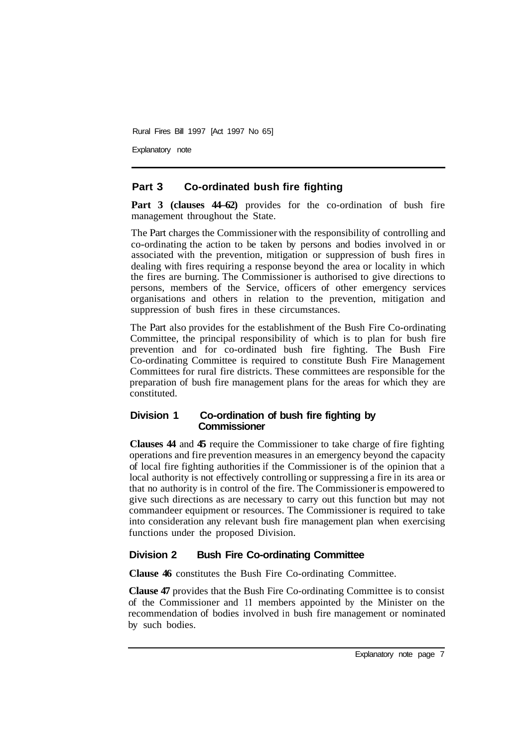Explanatory note

## **Part 3 Co-ordinated bush fire fighting**

Part 3 (clauses  $44-62$ ) provides for the co-ordination of bush fire management throughout the State.

The Part charges the Commissioner with the responsibility of controlling and co-ordinating the action to be taken by persons and bodies involved in or associated with the prevention, mitigation or suppression of bush fires in dealing with fires requiring a response beyond the area or locality in which the fires are burning. The Commissioner is authorised to give directions to persons, members of the Service, officers of other emergency services organisations and others in relation to the prevention, mitigation and suppression of bush fires in these circumstances.

The Part also provides for the establishment of the Bush Fire Co-ordinating Committee, the principal responsibility of which is to plan for bush fire prevention and for co-ordinated bush fire fighting. The Bush Fire Co-ordinating Committee is required to constitute Bush Fire Management Committees for rural fire districts. These committees are responsible for the preparation of bush fire management plans for the areas for which they are constituted.

## **Division 1 Co-ordination of bush fire fighting by Commissioner**

**Clauses 44** and **45** require the Commissioner to take charge of fire fighting operations and fire prevention measures in an emergency beyond the capacity of local fire fighting authorities if the Commissioner is of the opinion that a local authority is not effectively controlling or suppressing a fire in its area or that no authority is in control of the fire. The Commissioner is empowered to give such directions as are necessary to carry out this function but may not commandeer equipment or resources. The Commissioner is required to take into consideration any relevant bush fire management plan when exercising functions under the proposed Division.

## **Division 2 Bush Fire Co-ordinating Committee**

**Clause 46** constitutes the Bush Fire Co-ordinating Committee.

**Clause 47** provides that the Bush Fire Co-ordinating Committee is to consist of the Commissioner and 11 members appointed by the Minister on the recommendation of bodies involved in bush fire management or nominated by such bodies.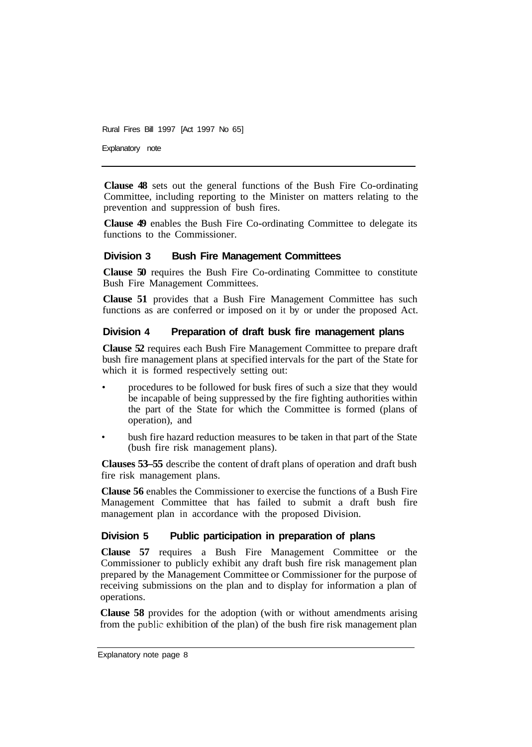Explanatory note

**Clause 48** sets out the general functions of the Bush Fire Co-ordinating Committee, including reporting to the Minister on matters relating to the prevention and suppression of bush fires.

**Clause 49** enables the Bush Fire Co-ordinating Committee to delegate its functions to the Commissioner.

## **Division 3 Bush Fire Management Committees**

**Clause 50** requires the Bush Fire Co-ordinating Committee to constitute Bush Fire Management Committees.

**Clause 51** provides that a Bush Fire Management Committee has such functions as are conferred or imposed on it by or under the proposed Act.

## **Division 4 Preparation of draft busk fire management plans**

**Clause 52** requires each Bush Fire Management Committee to prepare draft bush fire management plans at specified intervals for the part of the State for which it is formed respectively setting out:

- procedures to be followed for busk fires of such a size that they would be incapable of being suppressed by the fire fighting authorities within the part of the State for which the Committee is formed (plans of operation), and
- bush fire hazard reduction measures to be taken in that part of the State (bush fire risk management plans).

**Clauses 53–55** describe the content of draft plans of operation and draft bush fire risk management plans.

**Clause 56** enables the Commissioner to exercise the functions of a Bush Fire Management Committee that has failed to submit a draft bush fire management plan in accordance with the proposed Division.

## **Division 5 Public participation in preparation of plans**

**Clause 57** requires a Bush Fire Management Committee or the Commissioner to publicly exhibit any draft bush fire risk management plan prepared by the Management Committee or Commissioner for the purpose of receiving submissions on the plan and to display for information a plan of operations.

**Clause 58** provides for the adoption (with or without amendments arising from the public exhibition of the plan) of the bush fire risk management plan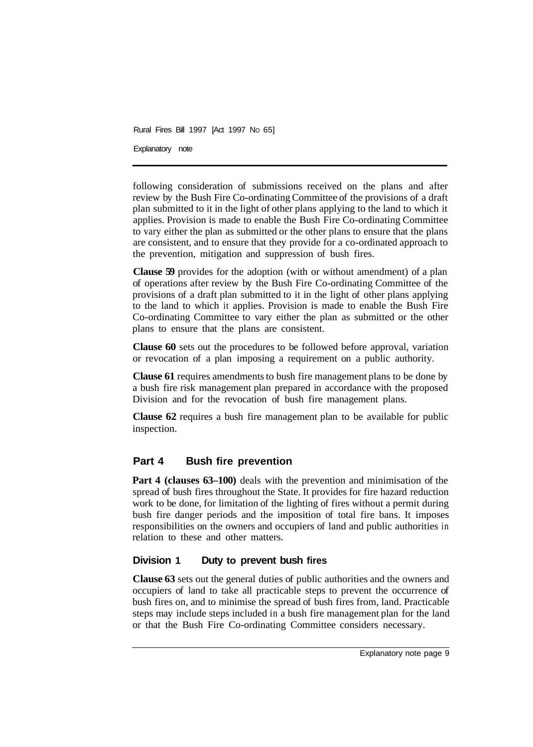Explanatory note

following consideration of submissions received on the plans and after review by the Bush Fire Co-ordinating Committee of the provisions of a draft plan submitted to it in the light of other plans applying to the land to which it applies. Provision is made to enable the Bush Fire Co-ordinating Committee to vary either the plan as submitted or the other plans to ensure that the plans are consistent, and to ensure that they provide for a co-ordinated approach to the prevention, mitigation and suppression of bush fires.

**Clause 59** provides for the adoption (with or without amendment) of a plan of operations after review by the Bush Fire Co-ordinating Committee of the provisions of a draft plan submitted to it in the light of other plans applying to the land to which it applies. Provision is made to enable the Bush Fire Co-ordinating Committee to vary either the plan as submitted or the other plans to ensure that the plans are consistent.

**Clause 60** sets out the procedures to be followed before approval, variation or revocation of a plan imposing a requirement on a public authority.

**Clause 61** requires amendments to bush fire management plans to be done by a bush fire risk management plan prepared in accordance with the proposed Division and for the revocation of bush fire management plans.

**Clause 62** requires a bush fire management plan to be available for public inspection.

# **Part 4 Bush fire prevention**

**Part 4 (clauses 63–100)** deals with the prevention and minimisation of the spread of bush fires throughout the State. It provides for fire hazard reduction work to be done, for limitation of the lighting of fires without a permit during bush fire danger periods and the imposition of total fire bans. It imposes responsibilities on the owners and occupiers of land and public authorities in relation to these and other matters.

## **Division 1 Duty to prevent bush fires**

**Clause 63** sets out the general duties of public authorities and the owners and occupiers of land to take all practicable steps to prevent the occurrence of bush fires on, and to minimise the spread of bush fires from, land. Practicable steps may include steps included in a bush fire management plan for the land or that the Bush Fire Co-ordinating Committee considers necessary.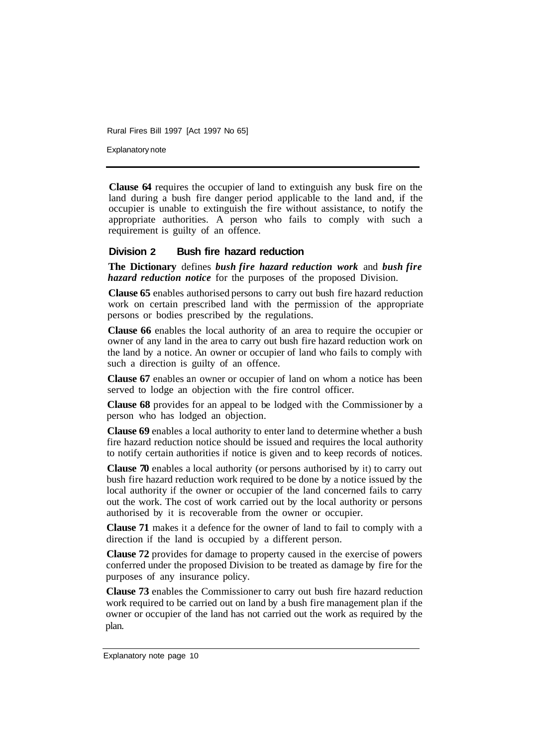Explanatory note

**Clause 64** requires the occupier of land to extinguish any busk fire on the land during a bush fire danger period applicable to the land and, if the occupier is unable to extinguish the fire without assistance, to notify the appropriate authorities. A person who fails to comply with such a requirement is guilty of an offence.

## **Division 2 Bush fire hazard reduction**

**The Dictionary** defines *bush fire hazard reduction work* and *bush fire hazard reduction notice* for the purposes of the proposed Division.

**Clause 65** enables authorised persons to carry out bush fire hazard reduction work on certain prescribed land with the permission of the appropriate persons or bodies prescribed by the regulations.

**Clause 66** enables the local authority of an area to require the occupier or owner of any land in the area to carry out bush fire hazard reduction work on the land by a notice. An owner or occupier of land who fails to comply with such a direction is guilty of an offence.

**Clause 67** enables an owner or occupier of land on whom a notice has been served to lodge an objection with the fire control officer.

**Clause 68** provides for an appeal to be lodged with the Commissioner by a person who has lodged an objection.

**Clause 69** enables a local authority to enter land to determine whether a bush fire hazard reduction notice should be issued and requires the local authority to notify certain authorities if notice is given and to keep records of notices.

**Clause 70** enables a local authority (or persons authorised by it) to carry out bush fire hazard reduction work required to be done by a notice issued by the local authority if the owner or occupier of the land concerned fails to carry out the work. The cost of work carried out by the local authority or persons authorised by it is recoverable from the owner or occupier.

**Clause 71** makes it a defence for the owner of land to fail to comply with a direction if the land is occupied by a different person.

**Clause 72** provides for damage to property caused in the exercise of powers conferred under the proposed Division to be treated as damage by fire for the purposes of any insurance policy.

**Clause 73** enables the Commissioner to carry out bush fire hazard reduction work required to be carried out on land by a bush fire management plan if the owner or occupier of the land has not carried out the work as required by the plan.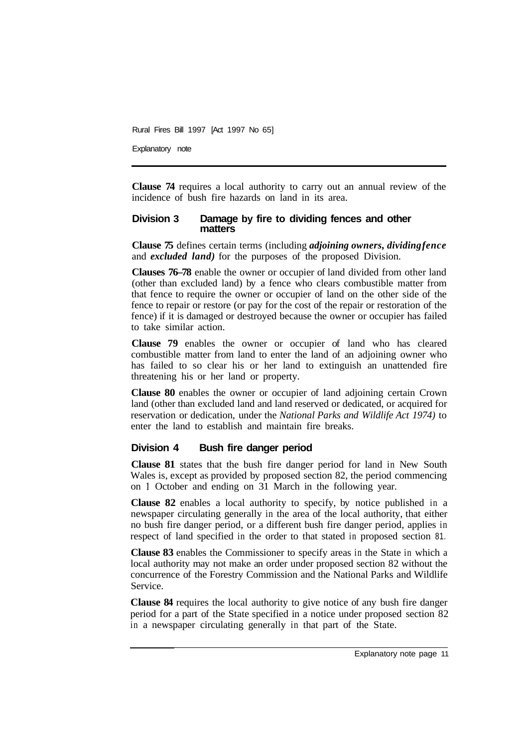Explanatory note

**Clause 74** requires a local authority to carry out an annual review of the incidence of bush fire hazards on land in its area.

#### **Division 3 Damage by fire to dividing fences and other matters**

**Clause 75** defines certain terms (including *adjoining owners, dividing fence*  and *excluded land)* for the purposes of the proposed Division.

**Clauses 76–78** enable the owner or occupier of land divided from other land (other than excluded land) by a fence who clears combustible matter from that fence to require the owner or occupier of land on the other side of the fence to repair or restore (or pay for the cost of the repair or restoration of the fence) if it is damaged or destroyed because the owner or occupier has failed to take similar action.

**Clause 79** enables the owner or occupier of land who has cleared combustible matter from land to enter the land of an adjoining owner who has failed to so clear his or her land to extinguish an unattended fire threatening his or her land or property.

**Clause 80** enables the owner or occupier of land adjoining certain Crown land (other than excluded land and land reserved or dedicated, or acquired for reservation or dedication, under the *National Parks and Wildlife Act 1974)* to enter the land to establish and maintain fire breaks.

#### **Division 4 Bush fire danger period**

**Clause 81** states that the bush fire danger period for land in New South Wales is, except as provided by proposed section 82, the period commencing on l October and ending on 31 March in the following year.

**Clause 82** enables a local authority to specify, by notice published in a newspaper circulating generally in the area of the local authority, that either no bush fire danger period, or a different bush fire danger period, applies in respect of land specified in the order to that stated in proposed section 81.

**Clause 83** enables the Commissioner to specify areas in the State in which a local authority may not make an order under proposed section 82 without the concurrence of the Forestry Commission and the National Parks and Wildlife Service.

**Clause 84** requires the local authority to give notice of any bush fire danger period for a part of the State specified in a notice under proposed section 82 in a newspaper circulating generally in that part of the State.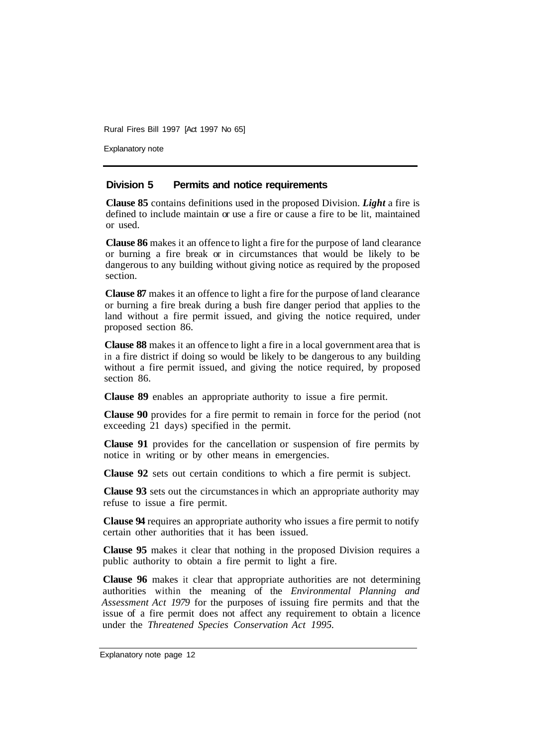Explanatory note

## **Division 5 Permits and notice requirements**

**Clause 85** contains definitions used in the proposed Division. *Light* a fire is defined to include maintain or use a fire or cause a fire to be lit, maintained or used.

**Clause 86** makes it an offence to light a fire for the purpose of land clearance or burning a fire break or in circumstances that would be likely to be dangerous to any building without giving notice as required by the proposed section.

**Clause 87** makes it an offence to light a fire for the purpose of land clearance or burning a fire break during a bush fire danger period that applies to the land without a fire permit issued, and giving the notice required, under proposed section 86.

**Clause 88** makes it an offence to light a fire in a local government area that is in a fire district if doing so would be likely to be dangerous to any building without a fire permit issued, and giving the notice required, by proposed section 86.

**Clause 89** enables an appropriate authority to issue a fire permit.

**Clause 90** provides for a fire permit to remain in force for the period (not exceeding 21 days) specified in the permit.

**Clause 91** provides for the cancellation or suspension of fire permits by notice in writing or by other means in emergencies.

**Clause 92** sets out certain conditions to which a fire permit is subject.

**Clause 93** sets out the circumstances in which an appropriate authority may refuse to issue a fire permit.

**Clause 94** requires an appropriate authority who issues a fire permit to notify certain other authorities that it has been issued.

**Clause 95** makes it clear that nothing in the proposed Division requires a public authority to obtain a fire permit to light a fire.

**Clause 96** makes it clear that appropriate authorities are not determining authorities within the meaning of the *Environmental Planning and Assessment Act 1979* for the purposes of issuing fire permits and that the issue of a fire permit does not affect any requirement to obtain a licence under the *Threatened Species Conservation Act 1995.*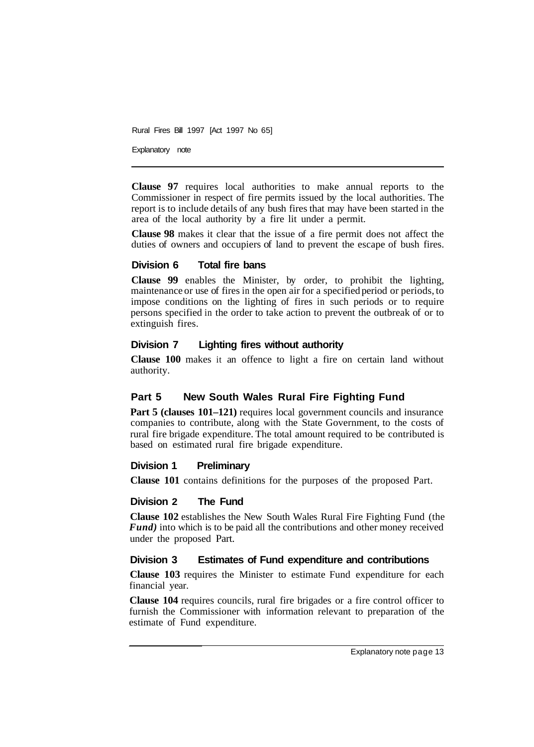Explanatory note

**Clause 97** requires local authorities to make annual reports to the Commissioner in respect of fire permits issued by the local authorities. The report is to include details of any bush fires that may have been started in the area of the local authority by a fire lit under a permit.

**Clause 98** makes it clear that the issue of a fire permit does not affect the duties of owners and occupiers of land to prevent the escape of bush fires.

## **Division 6 Total fire bans**

**Clause 99** enables the Minister, by order, to prohibit the lighting, maintenance or use of fires in the open air for a specified period or periods, to impose conditions on the lighting of fires in such periods or to require persons specified in the order to take action to prevent the outbreak of or to extinguish fires.

## **Division 7 Lighting fires without authority**

**Clause 100** makes it an offence to light a fire on certain land without authority.

# **Part 5 New South Wales Rural Fire Fighting Fund**

**Part 5 (clauses 101–121)** requires local government councils and insurance companies to contribute, along with the State Government, to the costs of rural fire brigade expenditure. The total amount required to be contributed is based on estimated rural fire brigade expenditure.

#### **Division 1 Preliminary**

**Clause 101** contains definitions for the purposes of the proposed Part.

## **Division 2 The Fund**

**Clause 102** establishes the New South Wales Rural Fire Fighting Fund (the *Fund)* into which is to be paid all the contributions and other money received under the proposed Part.

## **Division 3 Estimates of Fund expenditure and contributions**

**Clause 103** requires the Minister to estimate Fund expenditure for each financial year.

**Clause 104** requires councils, rural fire brigades or a fire control officer to furnish the Commissioner with information relevant to preparation of the estimate of Fund expenditure.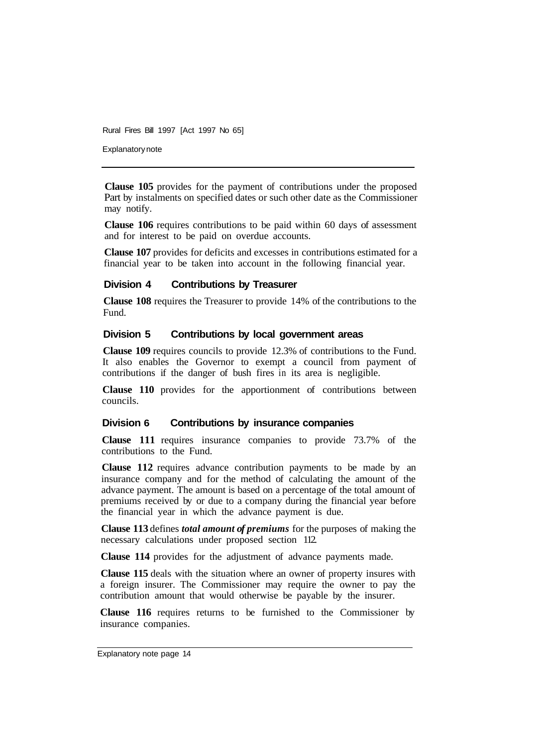Explanatory note

**Clause 105** provides for the payment of contributions under the proposed Part by instalments on specified dates or such other date as the Commissioner may notify.

**Clause 106** requires contributions to be paid within 60 days of assessment and for interest to be paid on overdue accounts.

**Clause 107** provides for deficits and excesses in contributions estimated for a financial year to be taken into account in the following financial year.

#### **Division 4 Contributions by Treasurer**

**Clause 108** requires the Treasurer to provide 14% of the contributions to the Fund.

#### **Division 5 Contributions by local government areas**

**Clause 109** requires councils to provide 12.3% of contributions to the Fund. It also enables the Governor to exempt a council from payment of contributions if the danger of bush fires in its area is negligible.

**Clause 110** provides for the apportionment of contributions between councils.

#### **Division 6 Contributions by insurance companies**

**Clause 111** requires insurance companies to provide 73.7% of the contributions to the Fund.

**Clause 112** requires advance contribution payments to be made by an insurance company and for the method of calculating the amount of the advance payment. The amount is based on a percentage of the total amount of premiums received by or due to a company during the financial year before the financial year in which the advance payment is due.

**Clause 113** defines *total amount of premiums* for the purposes of making the necessary calculations under proposed section 112.

**Clause 114** provides for the adjustment of advance payments made.

**Clause 115** deals with the situation where an owner of property insures with a foreign insurer. The Commissioner may require the owner to pay the contribution amount that would otherwise be payable by the insurer.

**Clause 116** requires returns to be furnished to the Commissioner by insurance companies.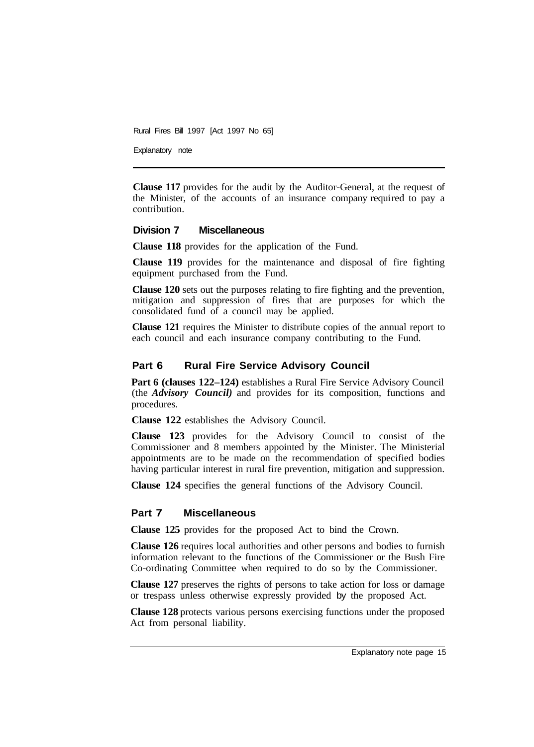Explanatory note

**Clause 117** provides for the audit by the Auditor-General, at the request of the Minister, of the accounts of an insurance company required to pay a contribution.

#### **Division 7 Miscellaneous**

**Clause 118** provides for the application of the Fund.

**Clause 119** provides for the maintenance and disposal of fire fighting equipment purchased from the Fund.

**Clause 120** sets out the purposes relating to fire fighting and the prevention, mitigation and suppression of fires that are purposes for which the consolidated fund of a council may be applied.

**Clause 121** requires the Minister to distribute copies of the annual report to each council and each insurance company contributing to the Fund.

#### **Part 6 Rural Fire Service Advisory Council**

**Part 6 (clauses 122–124)** establishes a Rural Fire Service Advisory Council (the *Advisory Council)* and provides for its composition, functions and procedures.

**Clause 122** establishes the Advisory Council.

**Clause 123** provides for the Advisory Council to consist of the Commissioner and 8 members appointed by the Minister. The Ministerial appointments are to be made on the recommendation of specified bodies having particular interest in rural fire prevention, mitigation and suppression.

**Clause 124** specifies the general functions of the Advisory Council.

#### **Part 7 Miscellaneous**

**Clause 125** provides for the proposed Act to bind the Crown.

**Clause 126** requires local authorities and other persons and bodies to furnish information relevant to the functions of the Commissioner or the Bush Fire Co-ordinating Committee when required to do so by the Commissioner.

**Clause 127** preserves the rights of persons to take action for loss or damage or trespass unless otherwise expressly provided by the proposed Act.

**Clause 128** protects various persons exercising functions under the proposed Act from personal liability.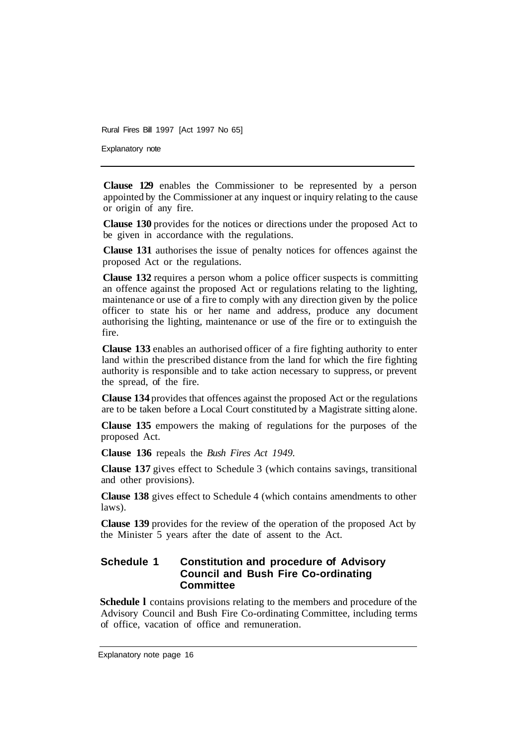Explanatory note

**Clause 129** enables the Commissioner to be represented by a person appointed by the Commissioner at any inquest or inquiry relating to the cause or origin of any fire.

**Clause 130** provides for the notices or directions under the proposed Act to be given in accordance with the regulations.

**Clause 131** authorises the issue of penalty notices for offences against the proposed Act or the regulations.

**Clause 132** requires a person whom a police officer suspects is committing an offence against the proposed Act or regulations relating to the lighting, maintenance or use of a fire to comply with any direction given by the police officer to state his or her name and address, produce any document authorising the lighting, maintenance or use of the fire or to extinguish the fire.

**Clause 133** enables an authorised officer of a fire fighting authority to enter land within the prescribed distance from the land for which the fire fighting authority is responsible and to take action necessary to suppress, or prevent the spread, of the fire.

**Clause 134** provides that offences against the proposed Act or the regulations are to be taken before a Local Court constituted by a Magistrate sitting alone.

**Clause 135** empowers the making of regulations for the purposes of the proposed Act.

**Clause 136** repeals the *Bush Fires Act 1949.* 

**Clause 137** gives effect to Schedule 3 (which contains savings, transitional and other provisions).

**Clause 138** gives effect to Schedule 4 (which contains amendments to other laws).

**Clause 139** provides for the review of the operation of the proposed Act by the Minister 5 years after the date of assent to the Act.

## **Schedule 1 Constitution and procedure of Advisory Council and Bush Fire Co-ordinating Committee**

**Schedule I** contains provisions relating to the members and procedure of the Advisory Council and Bush Fire Co-ordinating Committee, including terms of office, vacation of office and remuneration.